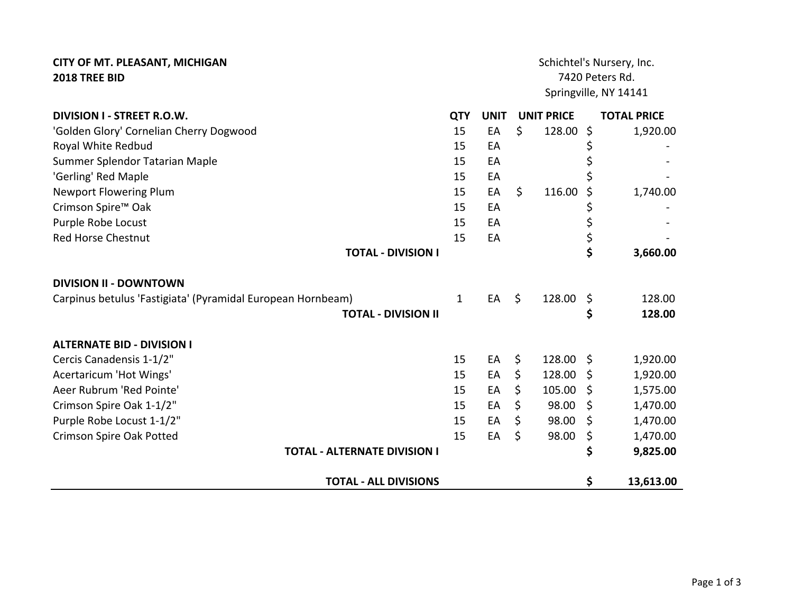| <b>CITY OF MT. PLEASANT, MICHIGAN</b>                       |              | Schichtel's Nursery, Inc. |                 |                   |         |                       |  |
|-------------------------------------------------------------|--------------|---------------------------|-----------------|-------------------|---------|-----------------------|--|
| 2018 TREE BID                                               |              |                           | 7420 Peters Rd. |                   |         |                       |  |
|                                                             |              |                           |                 |                   |         | Springville, NY 14141 |  |
| DIVISION I - STREET R.O.W.                                  | <b>QTY</b>   | <b>UNIT</b>               |                 | <b>UNIT PRICE</b> |         | <b>TOTAL PRICE</b>    |  |
| 'Golden Glory' Cornelian Cherry Dogwood                     | 15           | EA                        | \$              | 128.00            | $\zeta$ | 1,920.00              |  |
| Royal White Redbud                                          | 15           | EA                        |                 |                   |         |                       |  |
| Summer Splendor Tatarian Maple                              | 15           | EA                        |                 |                   |         |                       |  |
| 'Gerling' Red Maple                                         | 15           | EA                        |                 |                   |         |                       |  |
| <b>Newport Flowering Plum</b>                               | 15           | EA                        | \$              | 116.00            | S       | 1,740.00              |  |
| Crimson Spire <sup>™</sup> Oak                              | 15           | EA                        |                 |                   | \$      |                       |  |
| Purple Robe Locust                                          | 15           | EA                        |                 |                   | \$      |                       |  |
| <b>Red Horse Chestnut</b>                                   | 15           | EA                        |                 |                   | \$      |                       |  |
| <b>TOTAL - DIVISION I</b>                                   |              |                           |                 |                   | \$      | 3,660.00              |  |
| <b>DIVISION II - DOWNTOWN</b>                               |              |                           |                 |                   |         |                       |  |
| Carpinus betulus 'Fastigiata' (Pyramidal European Hornbeam) | $\mathbf{1}$ | EA                        | $\zeta$         | 128.00            | \$      | 128.00                |  |
| <b>TOTAL - DIVISION II</b>                                  |              |                           |                 |                   | \$      | 128.00                |  |
| <b>ALTERNATE BID - DIVISION I</b>                           |              |                           |                 |                   |         |                       |  |
| Cercis Canadensis 1-1/2"                                    | 15           | EA                        | \$              | 128.00 \$         |         | 1,920.00              |  |
| Acertaricum 'Hot Wings'                                     | 15           | EA                        | \$              | 128.00            | Ŝ.      | 1,920.00              |  |
| Aeer Rubrum 'Red Pointe'                                    | 15           | EA                        | \$              | 105.00            | Ŝ.      | 1,575.00              |  |
| Crimson Spire Oak 1-1/2"                                    | 15           | EA                        | \$              | 98.00             | \$      | 1,470.00              |  |
| Purple Robe Locust 1-1/2"                                   | 15           | EA                        | \$              | 98.00             | \$      | 1,470.00              |  |
| <b>Crimson Spire Oak Potted</b>                             | 15           | EA                        | $\mathsf{S}$    | 98.00             | \$      | 1,470.00              |  |
| <b>TOTAL - ALTERNATE DIVISION I</b>                         |              |                           |                 |                   | \$      | 9,825.00              |  |
| <b>TOTAL - ALL DIVISIONS</b>                                |              |                           |                 |                   | \$      | 13,613.00             |  |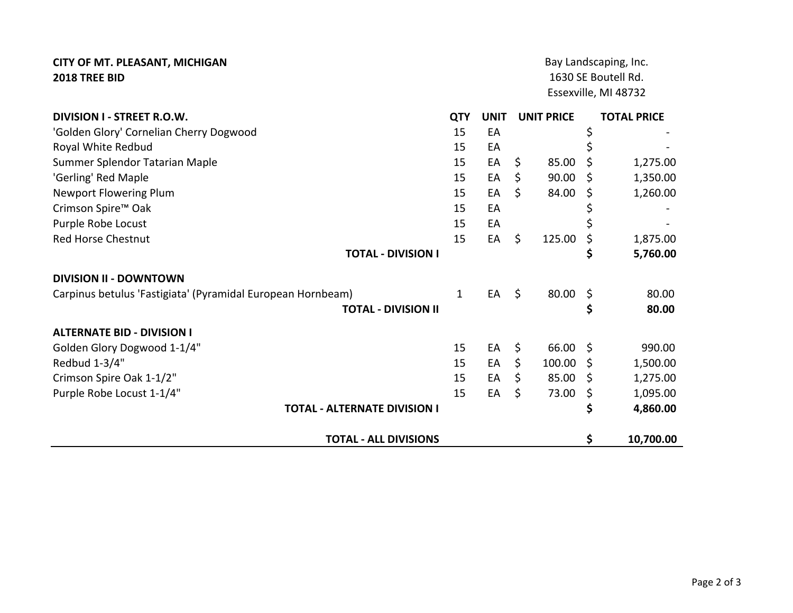## **CITY OF MT. PLEASANT, MICHIGAN 2018 TREE BID**

1630 SE Boutell Rd. Essexville, MI 48732 Bay Landscaping, Inc.

| <b>DIVISION I - STREET R.O.W.</b>                           | <b>QTY</b> | <b>UNIT</b> | <b>UNIT PRICE</b> |     | <b>TOTAL PRICE</b> |
|-------------------------------------------------------------|------------|-------------|-------------------|-----|--------------------|
| 'Golden Glory' Cornelian Cherry Dogwood                     | 15         | EA          |                   | \$  |                    |
| Royal White Redbud                                          | 15         | EA          |                   |     |                    |
| Summer Splendor Tatarian Maple                              | 15         | EA          | \$<br>85.00       | S   | 1,275.00           |
| 'Gerling' Red Maple                                         | 15         | EA          | \$<br>90.00       | \$  | 1,350.00           |
| <b>Newport Flowering Plum</b>                               | 15         | EA          | \$<br>84.00       | Ş   | 1,260.00           |
| Crimson Spire <sup>™</sup> Oak                              | 15         | EA          |                   |     |                    |
| Purple Robe Locust                                          | 15         | EA          |                   |     |                    |
| <b>Red Horse Chestnut</b>                                   | 15         | EA          | \$<br>125.00      | \$  | 1,875.00           |
| <b>TOTAL - DIVISION I</b>                                   |            |             |                   | \$  | 5,760.00           |
| <b>DIVISION II - DOWNTOWN</b>                               |            |             |                   |     |                    |
| Carpinus betulus 'Fastigiata' (Pyramidal European Hornbeam) | 1          | EA          | \$<br>80.00       | \$  | 80.00              |
| <b>TOTAL - DIVISION II</b>                                  |            |             |                   | \$  | 80.00              |
| <b>ALTERNATE BID - DIVISION I</b>                           |            |             |                   |     |                    |
| Golden Glory Dogwood 1-1/4"                                 | 15         | EA          | \$<br>66.00       | -Ś  | 990.00             |
| Redbud 1-3/4"                                               | 15         | EA          | \$<br>100.00      | -\$ | 1,500.00           |
| Crimson Spire Oak 1-1/2"                                    | 15         | EA          | \$<br>85.00       | S   | 1,275.00           |
| Purple Robe Locust 1-1/4"                                   | 15         | EA          | \$<br>73.00       | \$  | 1,095.00           |
| <b>TOTAL - ALTERNATE DIVISION I</b>                         |            |             |                   | \$  | 4,860.00           |
| <b>TOTAL - ALL DIVISIONS</b>                                |            |             |                   | \$  | 10,700.00          |